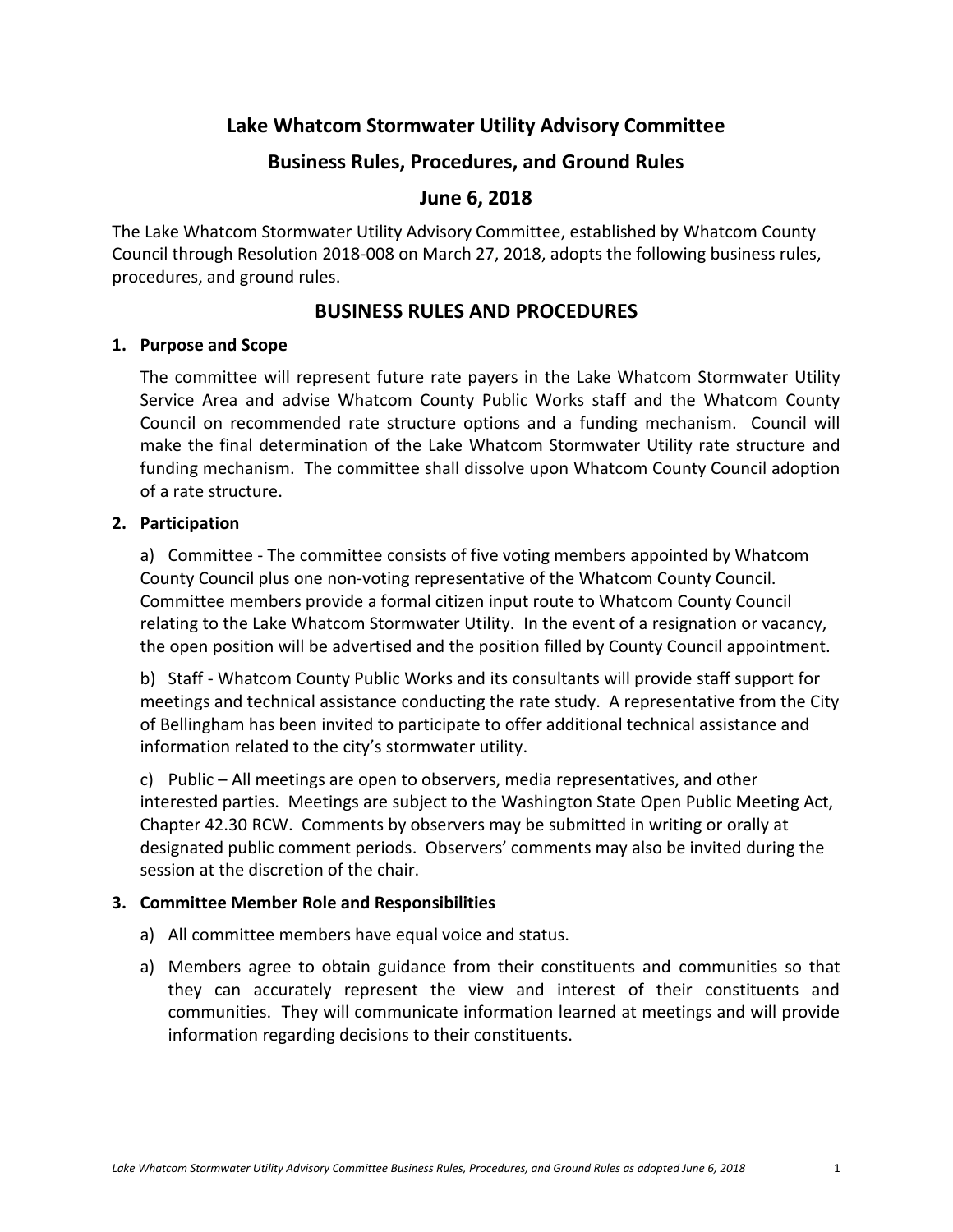# **Lake Whatcom Stormwater Utility Advisory Committee**

## **Business Rules, Procedures, and Ground Rules**

## **June 6, 2018**

The Lake Whatcom Stormwater Utility Advisory Committee, established by Whatcom County Council through Resolution 2018-008 on March 27, 2018, adopts the following business rules, procedures, and ground rules.

## **BUSINESS RULES AND PROCEDURES**

#### **1. Purpose and Scope**

The committee will represent future rate payers in the Lake Whatcom Stormwater Utility Service Area and advise Whatcom County Public Works staff and the Whatcom County Council on recommended rate structure options and a funding mechanism. Council will make the final determination of the Lake Whatcom Stormwater Utility rate structure and funding mechanism. The committee shall dissolve upon Whatcom County Council adoption of a rate structure.

### **2. Participation**

a) Committee - The committee consists of five voting members appointed by Whatcom County Council plus one non-voting representative of the Whatcom County Council. Committee members provide a formal citizen input route to Whatcom County Council relating to the Lake Whatcom Stormwater Utility. In the event of a resignation or vacancy, the open position will be advertised and the position filled by County Council appointment.

b) Staff - Whatcom County Public Works and its consultants will provide staff support for meetings and technical assistance conducting the rate study. A representative from the City of Bellingham has been invited to participate to offer additional technical assistance and information related to the city's stormwater utility.

c) Public – All meetings are open to observers, media representatives, and other interested parties. Meetings are subject to the Washington State Open Public Meeting Act, Chapter 42.30 RCW. Comments by observers may be submitted in writing or orally at designated public comment periods. Observers' comments may also be invited during the session at the discretion of the chair.

## **3. Committee Member Role and Responsibilities**

- a) All committee members have equal voice and status.
- a) Members agree to obtain guidance from their constituents and communities so that they can accurately represent the view and interest of their constituents and communities. They will communicate information learned at meetings and will provide information regarding decisions to their constituents.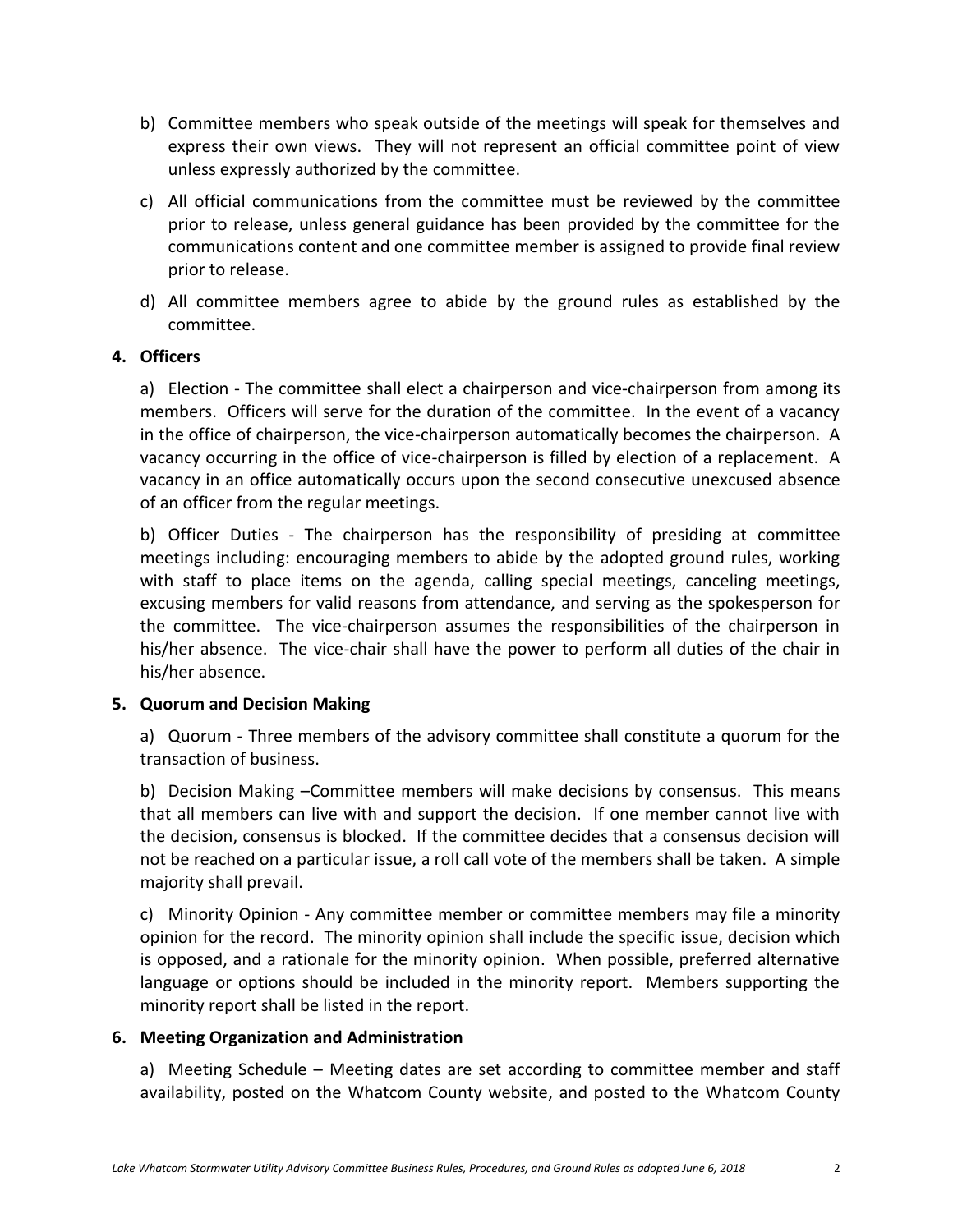- b) Committee members who speak outside of the meetings will speak for themselves and express their own views. They will not represent an official committee point of view unless expressly authorized by the committee.
- c) All official communications from the committee must be reviewed by the committee prior to release, unless general guidance has been provided by the committee for the communications content and one committee member is assigned to provide final review prior to release.
- d) All committee members agree to abide by the ground rules as established by the committee.

### **4. Officers**

a) Election - The committee shall elect a chairperson and vice-chairperson from among its members. Officers will serve for the duration of the committee. In the event of a vacancy in the office of chairperson, the vice-chairperson automatically becomes the chairperson. A vacancy occurring in the office of vice-chairperson is filled by election of a replacement. A vacancy in an office automatically occurs upon the second consecutive unexcused absence of an officer from the regular meetings.

b) Officer Duties - The chairperson has the responsibility of presiding at committee meetings including: encouraging members to abide by the adopted ground rules, working with staff to place items on the agenda, calling special meetings, canceling meetings, excusing members for valid reasons from attendance, and serving as the spokesperson for the committee. The vice-chairperson assumes the responsibilities of the chairperson in his/her absence. The vice-chair shall have the power to perform all duties of the chair in his/her absence.

#### **5. Quorum and Decision Making**

a) Quorum - Three members of the advisory committee shall constitute a quorum for the transaction of business.

b) Decision Making –Committee members will make decisions by consensus. This means that all members can live with and support the decision. If one member cannot live with the decision, consensus is blocked. If the committee decides that a consensus decision will not be reached on a particular issue, a roll call vote of the members shall be taken. A simple majority shall prevail.

c) Minority Opinion - Any committee member or committee members may file a minority opinion for the record. The minority opinion shall include the specific issue, decision which is opposed, and a rationale for the minority opinion. When possible, preferred alternative language or options should be included in the minority report. Members supporting the minority report shall be listed in the report.

## **6. Meeting Organization and Administration**

a) Meeting Schedule – Meeting dates are set according to committee member and staff availability, posted on the Whatcom County website, and posted to the Whatcom County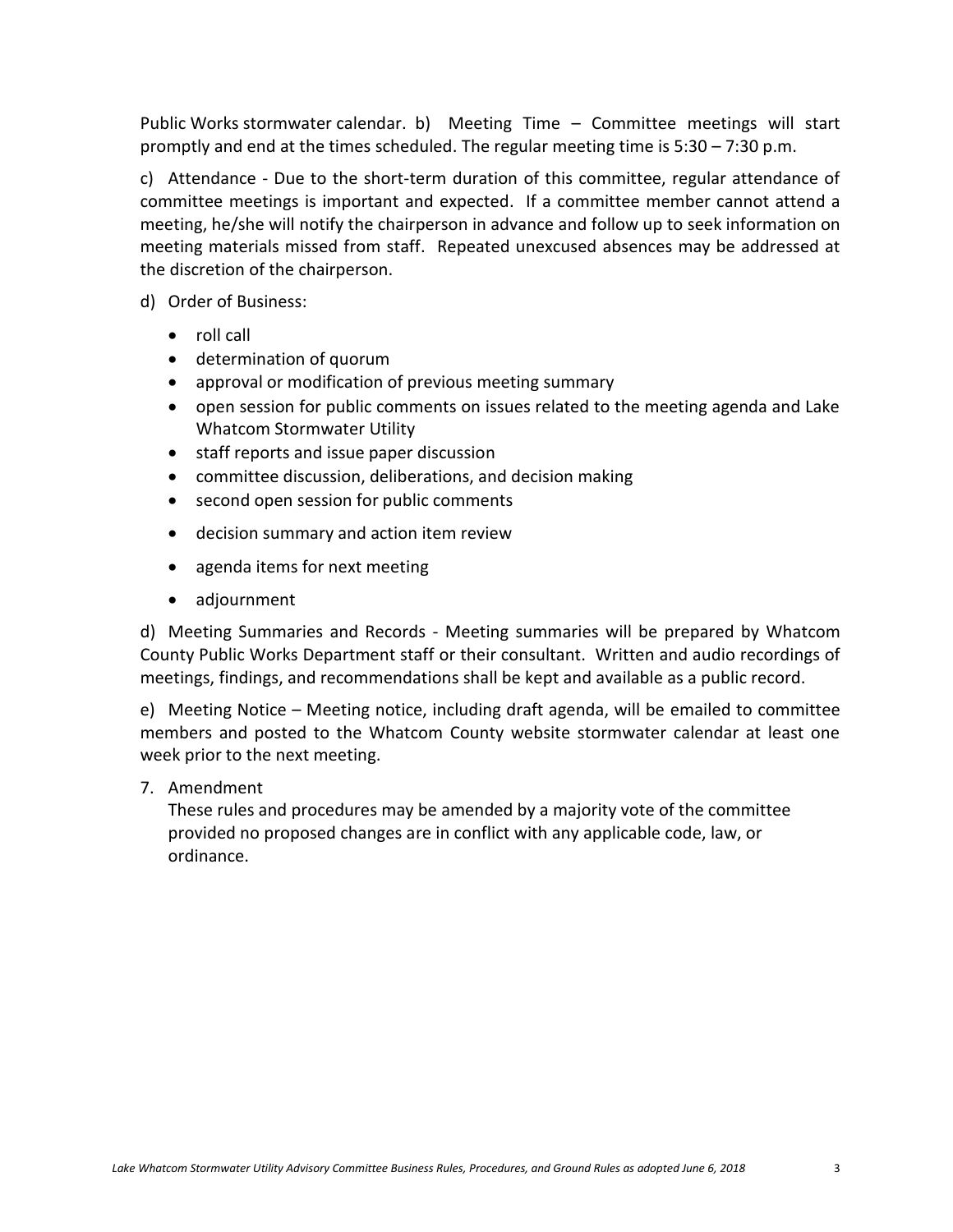Public Works stormwater calendar. b) Meeting Time – Committee meetings will start promptly and end at the times scheduled. The regular meeting time is 5:30 – 7:30 p.m.

c) Attendance - Due to the short-term duration of this committee, regular attendance of committee meetings is important and expected. If a committee member cannot attend a meeting, he/she will notify the chairperson in advance and follow up to seek information on meeting materials missed from staff. Repeated unexcused absences may be addressed at the discretion of the chairperson.

d) Order of Business:

- roll call
- determination of quorum
- approval or modification of previous meeting summary
- open session for public comments on issues related to the meeting agenda and Lake Whatcom Stormwater Utility
- staff reports and issue paper discussion
- committee discussion, deliberations, and decision making
- second open session for public comments
- decision summary and action item review
- agenda items for next meeting
- adjournment

d) Meeting Summaries and Records - Meeting summaries will be prepared by Whatcom County Public Works Department staff or their consultant. Written and audio recordings of meetings, findings, and recommendations shall be kept and available as a public record.

e) Meeting Notice – Meeting notice, including draft agenda, will be emailed to committee members and posted to the Whatcom County website stormwater calendar at least one week prior to the next meeting.

7. Amendment

These rules and procedures may be amended by a majority vote of the committee provided no proposed changes are in conflict with any applicable code, law, or ordinance.